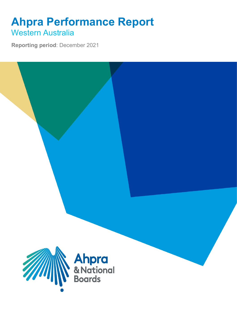## **Ahpra Performance Report** Western Australia

**Reporting period**: December 2021

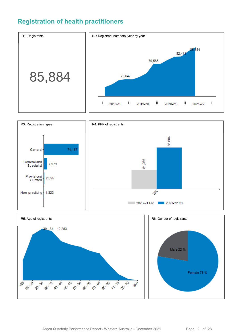### **Registration of health practitioners**





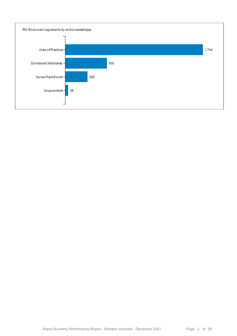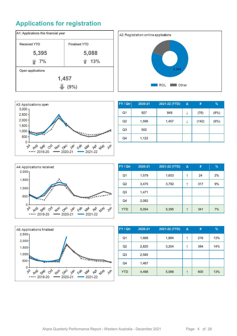## **Applications for registration**

| A1: Applications this financial year |                      |  |  |  |  |
|--------------------------------------|----------------------|--|--|--|--|
| <b>Received YTD</b>                  | <b>Finalised YTD</b> |  |  |  |  |
| 5,395                                | 5,088                |  |  |  |  |
| 7%                                   | 13%                  |  |  |  |  |
| Open applications                    |                      |  |  |  |  |
| 1,457                                |                      |  |  |  |  |
| (9%)                                 |                      |  |  |  |  |





| FY / Qtr       | 2020-21 | 2021-22 (YTD) | Δ | #     | $\frac{9}{6}$ |
|----------------|---------|---------------|---|-------|---------------|
| Q1             | 927     | 849           | ↓ | (78)  | (8%)          |
| Q <sub>2</sub> | 1,599   | 1,457         | ↓ | (142) | (9%)          |
| Q <sub>3</sub> | 502     |               |   |       |               |
| Q4             | 1,122   |               |   |       |               |



| FY / Qtr       | 2020-21 | 2021-22 (YTD) | $\Delta$ | #   | $\%$ |
|----------------|---------|---------------|----------|-----|------|
| Q1             | 1,579   | 1,603         | ↑        | 24  | 2%   |
| Q <sub>2</sub> | 3,475   | 3,792         | ↑        | 317 | 9%   |
| Q <sub>3</sub> | 1,471   |               |          |     |      |
| Q4             | 2,082   |               |          |     |      |
| <b>YTD</b>     | 5,054   | 5,395         | ↑        | 341 | 7%   |



| FY / Qtr       | 2020-21 | 2021-22 (YTD) | Δ | #   | %   |
|----------------|---------|---------------|---|-----|-----|
| Q1             | 1,668   | 1,884         | ↑ | 216 | 13% |
| Q <sub>2</sub> | 2,820   | 3,204         | ↑ | 384 | 14% |
| Q <sub>3</sub> | 2,585   |               |   |     |     |
| Q4             | 1,467   |               |   |     |     |
| <b>YTD</b>     | 4,488   | 5,088         | ↑ | 600 | 13% |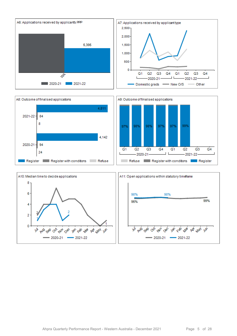



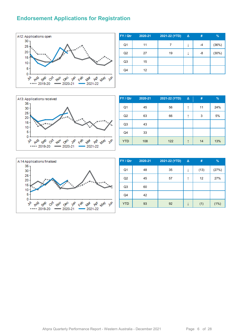#### **Endorsement Applications for Registration**



| FY / Qtr       | 2020-21 | 2021-22 (YTD) | Δ | #  | $\frac{9}{6}$ |
|----------------|---------|---------------|---|----|---------------|
| Q <sub>1</sub> | 11      |               | ↓ | -4 | (36%)         |
| Q2             | 27      | 19            | ↓ | -8 | (30%)         |
| Q3             | 15      |               |   |    |               |
| Q <sub>4</sub> | 12      |               |   |    |               |



| FY / Qtr       | 2020-21 | 2021-22 (YTD) | Δ | #  | $\frac{9}{6}$ |
|----------------|---------|---------------|---|----|---------------|
| Q <sub>1</sub> | 45      | 56            | ↑ | 11 | 24%           |
| Q2             | 63      | 66            | ↑ | 3  | 5%            |
| Q3             | 43      |               |   |    |               |
| Q4             | 33      |               |   |    |               |
| <b>YTD</b>     | 108     | 122           | ↑ | 14 | 13%           |



| FY / Qtr       | 2020-21 | 2021-22 (YTD) | Δ | #    | $\frac{9}{6}$ |
|----------------|---------|---------------|---|------|---------------|
| Q <sub>1</sub> | 48      | 35            | ↓ | (13) | (27%)         |
| Q2             | 45      | 57            | ↑ | 12   | 27%           |
| Q <sub>3</sub> | 60      |               |   |      |               |
| Q4             | 42      |               |   |      |               |
| <b>YTD</b>     | 93      | 92            |   | (1)  | (1%)          |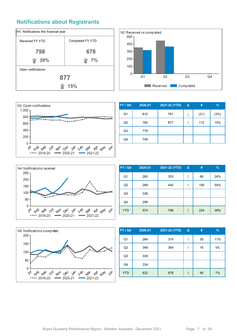#### **Notifications about Registrants**







| FY / Qtr       | 2020-21 | 2021-22 (YTD) | Δ | #    | $\%$ |
|----------------|---------|---------------|---|------|------|
| Q1             | 812     | 791           |   | (21) | (3%) |
| Q <sub>2</sub> | 765     | 877           | ↑ | 112  | 15%  |
| Q3             | 779     |               |   |      |      |
| Q4             | 749     |               |   |      |      |



| FY / Qtr       | 2020-21 | 2021-22 (YTD) | Δ | #   | %   |
|----------------|---------|---------------|---|-----|-----|
| Q <sub>1</sub> | 285     | 353           | ↑ | 68  | 24% |
| Q2             | 289     | 445           | ↑ | 156 | 54% |
| Q <sub>3</sub> | 338     |               |   |     |     |
| Q4             | 298     |               |   |     |     |
| <b>YTD</b>     | 574     | 798           | ↑ | 224 | 39% |



| FY / Qtr       | 2020-21 | 2021-22 (YTD) | $\Delta$ | #  | $\frac{9}{6}$ |
|----------------|---------|---------------|----------|----|---------------|
| Q <sub>1</sub> | 284     | 314           | ↑        | 30 | 11%           |
| Q2             | 348     | 364           | ↑        | 16 | 5%            |
| Q <sub>3</sub> | 339     |               |          |    |               |
| Q4             | 334     |               |          |    |               |
| <b>YTD</b>     | 632     | 678           | ↑        | 46 | 7%            |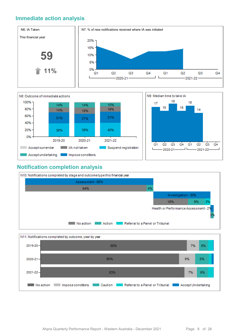#### **Immediate action analysis**





#### **Notification completion analysis**



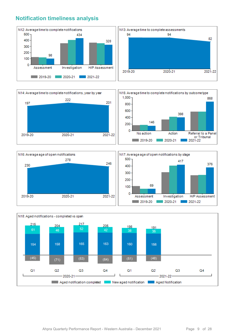#### **Notification timeliness analysis**









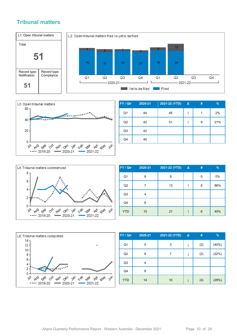#### **Tribunal matters**





| FY / Qtr       | 2020-21 | 2021-22 (YTD) | $\Delta$ | # | $\frac{1}{2}$ |
|----------------|---------|---------------|----------|---|---------------|
| Q <sub>1</sub> | 44      | 45            | ↑        |   | 2%            |
| Q2             | 42      | 51            |          | 9 | 21%           |
| Q <sub>3</sub> | 42      |               |          |   |               |
| Q4             | 40      |               |          |   |               |



| FY / Qtr       | 2020-21 | 2021-22 (YTD) | $\Delta$ | # | $\frac{9}{6}$ |
|----------------|---------|---------------|----------|---|---------------|
| Q <sub>1</sub> | 8       | 8             |          | 0 | 0%            |
| Q2             | 7       | 13            | ↑        | 6 | 86%           |
| Q <sub>3</sub> | 4       |               |          |   |               |
| Q4             | 6       |               |          |   |               |
| <b>YTD</b>     | 15      | 21            | ↑        | 6 | 40%           |



| FY / Qtr       | 2020-21 | 2021-22 (YTD) | $\Delta$ | #   | $\%$  |
|----------------|---------|---------------|----------|-----|-------|
| Q <sub>1</sub> | 5       | 3             | ↓        | (2) | (40%) |
| Q2             | 9       | 7             | ↓        | (2) | (22%) |
| Q <sub>3</sub> | 4       |               |          |     |       |
| Q4             | 8       |               |          |     |       |
| <b>YTD</b>     | 14      | 10            |          | (4) | (29%) |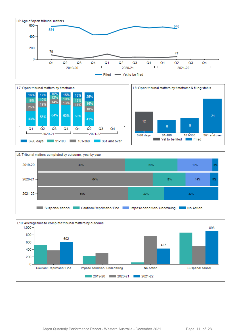







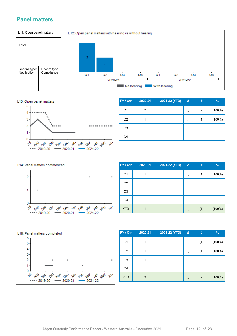#### **Panel matters**





| FY / Qtr       | 2020-21 | 2021-22 (YTD) | $\Delta$ | #   | $\frac{9}{6}$ |
|----------------|---------|---------------|----------|-----|---------------|
| Q <sub>1</sub> | 2       |               | ↓        | (2) | $(100\%)$     |
| Q2             |         |               | ↓        | (1) | $(100\%)$     |
| Q <sub>3</sub> |         |               |          |     |               |
| Q4             |         |               |          |     |               |



| FY / Qtr       | 2020-21 | 2021-22 (YTD) | $\Delta$ | #   | $\frac{9}{6}$ |
|----------------|---------|---------------|----------|-----|---------------|
| Q <sub>1</sub> |         |               |          | (1) | $(100\%)$     |
| Q2             |         |               |          |     |               |
| Q <sub>3</sub> |         |               |          |     |               |
| Q4             |         |               |          |     |               |
| <b>YTD</b>     |         |               |          | (1) | (100%)        |



| FY / Qtr       | 2020-21        | 2021-22 (YTD) | $\Delta$ | #   | $\frac{9}{6}$ |
|----------------|----------------|---------------|----------|-----|---------------|
| Q <sub>1</sub> | 1              |               | ↓        | (1) | (100%)        |
| Q2             |                |               | ↓        | (1) | (100%)        |
| Q <sub>3</sub> | 1              |               |          |     |               |
| Q4             |                |               |          |     |               |
| <b>YTD</b>     | $\overline{2}$ |               | ↓        | (2) | (100%)        |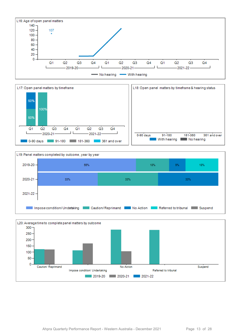





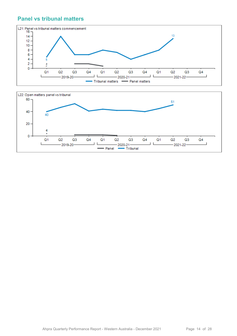#### **Panel vs tribunal matters**



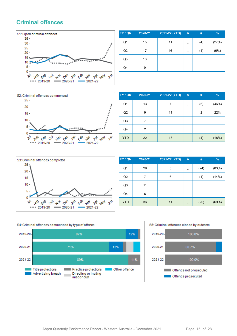#### **Criminal offences**



| FY / Qtr       | 2020-21 | 2021-22 (YTD) | $\Delta$ | #   | $\%$  |
|----------------|---------|---------------|----------|-----|-------|
| Q <sub>1</sub> | 15      | 11            | ↓        | (4) | (27%) |
| Q2             | 17      | 16            | ↓        | (1) | (6%)  |
| Q <sub>3</sub> | 13      |               |          |     |       |
| Q4             | 9       |               |          |     |       |



| FY / Qtr       | 2020-21        | 2021-22 (YTD) | $\Delta$ | #   | $\frac{9}{6}$ |
|----------------|----------------|---------------|----------|-----|---------------|
| Q <sub>1</sub> | 13             | 7             | J        | (6) | (46%)         |
| Q2             | 9              | 11            | ↑        | 2   | 22%           |
| Q <sub>3</sub> |                |               |          |     |               |
| Q4             | $\overline{2}$ |               |          |     |               |
| <b>YTD</b>     | 22             | 18            |          | (4) | (18%)         |



| FY / Qtr       | $2020 - 21$ | 2021-22 (YTD) | $\Delta$ | #    | $\frac{9}{6}$ |
|----------------|-------------|---------------|----------|------|---------------|
| Q <sub>1</sub> | 29          | 5             |          | (24) | (83%)         |
| Q <sub>2</sub> |             | 6             |          | (1)  | (14%)         |
| Q <sub>3</sub> | 11          |               |          |      |               |
| Q4             | 6           |               |          |      |               |
| <b>YTD</b>     | 36          | 11            |          | (25) | (69%)         |



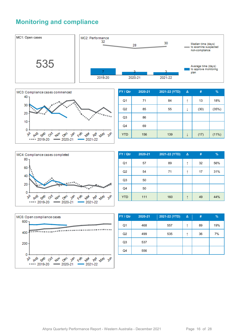#### **Monitoring and compliance**





| FY / Qtr       | 2020-21 | 2021-22 (YTD) | Δ | #    | %     |
|----------------|---------|---------------|---|------|-------|
| Q1             | 71      | 84            | ↑ | 13   | 18%   |
| Q2             | 85      | 55            | ↓ | (30) | (35%) |
| Q <sub>3</sub> | 86      |               |   |      |       |
| Q4             | 69      |               |   |      |       |
| <b>YTD</b>     | 156     | 139           |   | (17) | (11%) |



| FY / Qtr       | 2020-21 | 2021-22 (YTD) | $\Delta$ | #  | $\%$ |
|----------------|---------|---------------|----------|----|------|
| Q <sub>1</sub> | 57      | 89            | ↑        | 32 | 56%  |
| Q2             | 54      | 71            | ↑        | 17 | 31%  |
| Q <sub>3</sub> | 50      |               |          |    |      |
| Q <sub>4</sub> | 50      |               |          |    |      |
| <b>YTD</b>     | 111     | 160           |          | 49 | 44%  |



| FY / Qtr       | 2020-21 | 2021-22 (YTD) | $\Delta$ | #  | $\%$ |
|----------------|---------|---------------|----------|----|------|
| Q <sub>1</sub> | 468     | 557           | ᠰ        | 89 | 19%  |
| Q <sub>2</sub> | 499     | 535           |          | 36 | 7%   |
| Q <sub>3</sub> | 537     |               |          |    |      |
| Q4             | 556     |               |          |    |      |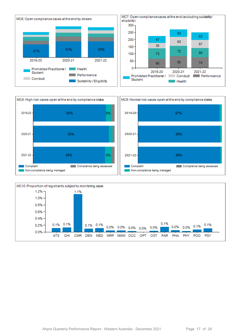



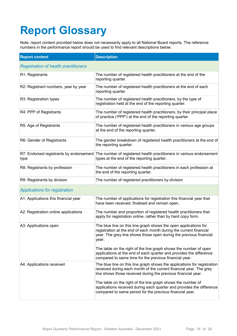# **Report Glossary**

Note: report content provided below does not necessarily apply to all National Board reports. The reference numbers in the performance report should be used to find relevant descriptions below.

| <b>Report content</b>                       | <b>Description</b>                                                                                                                                                                                                    |
|---------------------------------------------|-----------------------------------------------------------------------------------------------------------------------------------------------------------------------------------------------------------------------|
| <b>Registration of health practitioners</b> |                                                                                                                                                                                                                       |
| R1: Registrants                             | The number of registered health practitioners at the end of the<br>reporting quarter.                                                                                                                                 |
| R2: Registrant numbers, year by year        | The number of registered health practitioners at the end of each<br>reporting quarter.                                                                                                                                |
| R3: Registration types                      | The number of registered health practitioners, by the type of<br>registration held at the end of the reporting quarter.                                                                                               |
| R4: PPP of Registrants                      | The number of registered health practitioners, by their principal place<br>of practice ('PPP') at the end of the reporting quarter.                                                                                   |
| R5: Age of Registrants                      | The number of registered health practitioners in various age groups<br>at the end of the reporting quarter.                                                                                                           |
| R6: Gender of Registrants                   | The gender breakdown of registered health practitioners at the end of<br>the reporting quarter.                                                                                                                       |
| type                                        | R7: Endorsed registrants by endorsement The number of registered health practitioners in various endorsement<br>types at the end of the reporting quarter.                                                            |
| R8: Registrants by profession               | The number of registered health practitioners in each profession at<br>the end of the reporting quarter.                                                                                                              |
| R9: Registrants by division                 | The number of registered practitioners by division                                                                                                                                                                    |
| <b>Applications for registration</b>        |                                                                                                                                                                                                                       |
| A1: Applications this financial year        | The number of applications for registration this financial year that<br>have been received, finalised and remain open.                                                                                                |
| A2: Registration online applications        | The number and proportion of registered health practitioners that<br>apply for registration online, rather than by hard copy form.                                                                                    |
| A3: Applications open                       | The blue line on this line graph shows the open applications for<br>registration at the end of each month during the current financial<br>year. The grey line shows those open during the previous financial<br>year. |
|                                             | The table on the right of the line graph shows the number of open<br>applications at the end of each quarter and provides the difference<br>compared to same time for the previous financial year.                    |
| A4: Applications received                   | The blue line on this line graph shows the applications for registration<br>received during each month of the current financial year. The grey<br>line shows those received during the previous financial year.       |
|                                             | The table on the right of the line graph shows the number of<br>applications received during each quarter and provides the difference<br>compared to same period for the previous financial year.                     |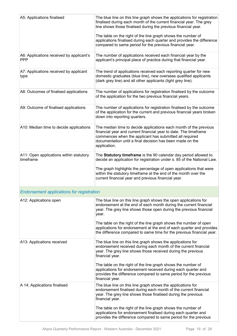| A5: Applications finalised                             | The blue line on this line graph shows the applications for registration<br>finalised during each month of the current financial year. The grey<br>line shows those finalised during the previous financial year.<br>The table on the right of the line graph shows the number of                                                           |
|--------------------------------------------------------|---------------------------------------------------------------------------------------------------------------------------------------------------------------------------------------------------------------------------------------------------------------------------------------------------------------------------------------------|
|                                                        | applications finalised during each quarter and provides the difference<br>compared to same period for the previous financial year.                                                                                                                                                                                                          |
| A6: Applications received by applicant's<br><b>PPP</b> | The number of applications received each financial year by the<br>applicant's principal place of practice during that financial year.                                                                                                                                                                                                       |
| A7: Applications received by applicant<br>type         | The trend of applications received each reporting quarter for new<br>domestic graduates (blue line), new overseas qualified applicants<br>(dark grey line) and all other applicants (light grey line).                                                                                                                                      |
| A8: Outcomes of finalised applications                 | The number of applications for registration finalised by the outcome<br>of the application for the two previous financial years.                                                                                                                                                                                                            |
| A9: Outcome of finalised applications                  | The number of applications for registration finalised by the outcome<br>of the application for the current and previous financial years broken<br>down into reporting quarters.                                                                                                                                                             |
| A10: Median time to decide applications                | The median time to decide applications each month of the previous<br>financial year and current financial year to date. The timeframe<br>commences when the applicant has submitted all required<br>documentation until a final decision has been made on the<br>application.                                                               |
| A11: Open applications within statutory<br>timeframe   | The Statutory timeframe is the 90 calendar day period allowed to<br>decide an application for registration under s. 85 of the National Law.<br>The graph highlights the percentage of open applications that were<br>within the statutory timeframe at the end of the month over the<br>current financial year and previous financial year. |
| <b>Endorsement applications for registration</b>       |                                                                                                                                                                                                                                                                                                                                             |
| A12: Applications open                                 | The blue line on this line graph shows the open applications for<br>endorsement at the end of each month during the current financial<br>year. The grey line shows those open during the previous financial<br>year.                                                                                                                        |
|                                                        | The table on the right of the line graph shows the number of open<br>applications for endorsement at the end of each quarter and provides<br>the difference compared to same time for the previous financial year.                                                                                                                          |
| A13: Applications received                             | The blue line on this line graph shows the applications for<br>endorsement received during each month of the current financial<br>year. The grey line shows those received during the previous<br>financial year.                                                                                                                           |
|                                                        | The table on the right of the line graph shows the number of<br>applications for endorsement received during each quarter and<br>provides the difference compared to same period for the previous<br>financial year.                                                                                                                        |
| A 14: Applications finalised                           | The blue line on this line graph shows the applications for<br>endorsement finalised during each month of the current financial<br>year. The grey line shows those finalised during the previous<br>financial year.                                                                                                                         |
|                                                        | The table on the right of the line graph shows the number of<br>applications for endorsement finalised during each quarter and<br>provides the difference compared to same period for the previous                                                                                                                                          |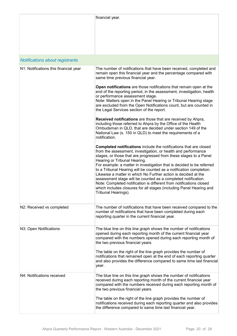|                                       | financial year.                                                                                                                                                                                                                                                                                                                                                                                                                                                                                                                                                                                                                                                                                 |
|---------------------------------------|-------------------------------------------------------------------------------------------------------------------------------------------------------------------------------------------------------------------------------------------------------------------------------------------------------------------------------------------------------------------------------------------------------------------------------------------------------------------------------------------------------------------------------------------------------------------------------------------------------------------------------------------------------------------------------------------------|
| Notifications about registrants       |                                                                                                                                                                                                                                                                                                                                                                                                                                                                                                                                                                                                                                                                                                 |
| N1: Notifications this financial year | The number of notifications that have been received, completed and<br>remain open this financial year and the percentage compared with<br>same time previous financial year.                                                                                                                                                                                                                                                                                                                                                                                                                                                                                                                    |
|                                       | Open notifications are those notifications that remain open at the<br>end of the reporting period, in the assessment, investigation, health<br>or performance assessment stage.<br>Note: Matters open in the Panel Hearing or Tribunal Hearing stage<br>are excluded from the Open Notifications count, but are counted in<br>the Legal Services section of the report.                                                                                                                                                                                                                                                                                                                         |
|                                       | Received notifications are those that are received by Ahpra,<br>including those referred to Ahpra by the Office of the Health<br>Ombudsman in QLD, that are decided under section 149 of the<br>National Law (s. 150 in QLD) to meet the requirements of a<br>notification.                                                                                                                                                                                                                                                                                                                                                                                                                     |
|                                       | Completed notifications include the notifications that are closed<br>from the assessment, investigation, or health and performance<br>stages, or those that are progressed from these stages to a Panel<br>Hearing or Tribunal Hearing.<br>For example: a matter in investigation that is decided to be referred<br>to a Tribunal Hearing will be counted as a notification completion.<br>Likewise a matter in which No Further action is decided at the<br>assessment stage will be counted as a completed notification.<br>Note: Completed notification is different from notifications closed<br>which includes closures for all stages (including Panel Hearing and<br>Tribunal Hearings). |
| N2: Received vs completed             | The number of notifications that have been received compared to the<br>number of notifications that have been completed during each<br>reporting quarter in the current financial year.                                                                                                                                                                                                                                                                                                                                                                                                                                                                                                         |
| N3: Open Notifications                | The blue line on this line graph shows the number of notifications<br>opened during each reporting month of the current financial year<br>compared with the numbers opened during each reporting month of<br>the two previous financial years.<br>The table on the right of the line graph provides the number of<br>notifications that remained open at the end of each reporting quarter<br>and also provides the difference compared to same time last financial<br>year.                                                                                                                                                                                                                    |
| N4: Notifications received            | The blue line on this line graph shows the number of notifications<br>received during each reporting month of the current financial year<br>compared with the numbers received during each reporting month of<br>the two previous financial years.                                                                                                                                                                                                                                                                                                                                                                                                                                              |
|                                       | The table on the right of the line graph provides the number of<br>notifications received during each reporting quarter and also provides<br>the difference compared to same time last financial year.                                                                                                                                                                                                                                                                                                                                                                                                                                                                                          |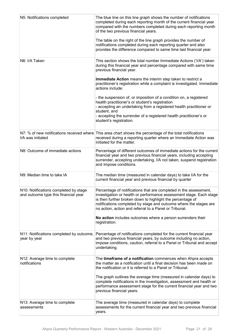| N5: Notifications completed                                                   | The blue line on this line graph shows the number of notifications<br>completed during each reporting month of the current financial year<br>compared with the numbers completed during each reporting month<br>of the two previous financial years.<br>The table on the right of the line graph provides the number of<br>notifications completed during each reporting quarter and also<br>provides the difference compared to same time last financial year. |
|-------------------------------------------------------------------------------|-----------------------------------------------------------------------------------------------------------------------------------------------------------------------------------------------------------------------------------------------------------------------------------------------------------------------------------------------------------------------------------------------------------------------------------------------------------------|
| N6: I/A Taken                                                                 | This section shows the total number Immediate Actions ('I/A') taken<br>during this financial year and percentage compared with same time<br>previous financial year.                                                                                                                                                                                                                                                                                            |
|                                                                               | Immediate Action means the interim step taken to restrict a<br>practitioner's registration while a complaint is investigated. Immediate<br>actions include:                                                                                                                                                                                                                                                                                                     |
|                                                                               | - the suspension of, or imposition of a condition on, a registered<br>health practitioner's or student's registration<br>- accepting an undertaking from a registered health practitioner or<br>student, and<br>- accepting the surrender of a registered health practitioner's or<br>student's registration.                                                                                                                                                   |
| I/A was initiated                                                             | N7: % of new notifications received where This area chart shows the percentage of the total notifications<br>received during a reporting quarter where an Immediate Action was<br>initiated for the matter.                                                                                                                                                                                                                                                     |
| N8: Outcome of immediate actions                                              | Percentage of different outcomes of immediate actions for the current<br>financial year and two previous financial years, including accepting<br>surrender, accepting undertaking, I/A not taken, suspend registration<br>and impose conditions.                                                                                                                                                                                                                |
| N9: Median time to take IA                                                    | The median time (measured in calendar days) to take I/A for the<br>current financial year and previous financial by quarter                                                                                                                                                                                                                                                                                                                                     |
| N10: Notifications completed by stage<br>and outcome type this financial year | Percentage of notifications that are completed in the assessment,<br>investigation or health or performance assessment stage. Each stage<br>is then further broken down to highlight the percentage of<br>notifications completed by stage and outcome where the stages are<br>no action, action and referral to a Panel or Tribunal.                                                                                                                           |
|                                                                               | No action includes outcomes where a person surrenders their<br>registration.                                                                                                                                                                                                                                                                                                                                                                                    |
| N11: Notifications completed by outcome,<br>year by year                      | Percentage of notifications completed for the current financial year<br>and two previous financial years, by outcome including no action,<br>impose conditions, caution, referral to a Panel or Tribunal and accept<br>undertaking.                                                                                                                                                                                                                             |
| N12: Average time to complete<br>notifications                                | The timeframe of a notification commences when Ahpra accepts<br>the matter as a notification until a final decision has been made on<br>the notification or it is referred to a Panel or Tribunal.                                                                                                                                                                                                                                                              |
|                                                                               | The graph outlines the average time (measured in calendar days) to<br>complete notifications in the investigation, assessment and health or<br>performance assessment stage for the current financial year and two<br>previous financial years.                                                                                                                                                                                                                 |
| N13: Average time to complete<br>assessments                                  | The average time (measured in calendar days) to complete<br>assessments for the current financial year and two previous financial<br>years.                                                                                                                                                                                                                                                                                                                     |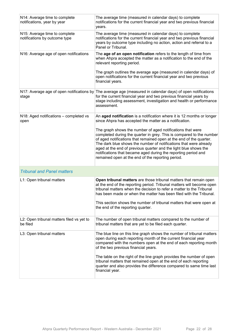| N14: Average time to complete<br>notifications, year by year   | The average time (measured in calendar days) to complete<br>notifications for the current financial year and two previous financial<br>years.                                                                                                                                                                                                                                                                                                                             |
|----------------------------------------------------------------|---------------------------------------------------------------------------------------------------------------------------------------------------------------------------------------------------------------------------------------------------------------------------------------------------------------------------------------------------------------------------------------------------------------------------------------------------------------------------|
| N15: Average time to complete<br>notifications by outcome type | The average time (measured in calendar days) to complete<br>notifications for the current financial year and two previous financial<br>years by outcome type including no action, action and referral to a<br>Panel or Tribunal.                                                                                                                                                                                                                                          |
| N16: Average age of open notifications                         | The age of an open notification refers to the length of time from<br>when Ahpra accepted the matter as a notification to the end of the<br>relevant reporting period.                                                                                                                                                                                                                                                                                                     |
|                                                                | The graph outlines the average age (measured in calendar days) of<br>open notifications for the current financial year and two previous<br>financial years.                                                                                                                                                                                                                                                                                                               |
| stage                                                          | N17: Average age of open notifications by The average age (measured in calendar days) of open notifications<br>for the current financial year and two previous financial years by<br>stage including assessment, investigation and health or performance<br>assessment.                                                                                                                                                                                                   |
| N18: Aged notifications - completed vs<br>open                 | An aged notification is a notification where it is 12 months or longer<br>since Ahpra has accepted the matter as a notification.                                                                                                                                                                                                                                                                                                                                          |
|                                                                | The graph shows the number of aged notifications that were<br>completed during the quarter in grey. This is compared to the number<br>of aged notifications that remained open at the end of the quarter.<br>The dark blue shows the number of notifications that were already<br>aged at the end of previous quarter and the light blue shows the<br>notifications that became aged during the reporting period and<br>remained open at the end of the reporting period. |
| <b>Tribunal and Panel matters</b>                              |                                                                                                                                                                                                                                                                                                                                                                                                                                                                           |
| L1: Open tribunal matters                                      | Open tribunal matters are those tribunal matters that remain open<br>at the end of the reporting period. Tribunal matters will become open<br>tribunal matters when the decision to refer a matter to the Tribunal<br>has been made or when the matter has been filed with the Tribunal.<br>This section shows the number of tribunal matters that were open at<br>the end of the reporting quarter.                                                                      |
| L2: Open tribunal matters filed vs yet to<br>be filed          | The number of open tribunal matters compared to the number of<br>tribunal matters that are yet to be filed each quarter.                                                                                                                                                                                                                                                                                                                                                  |
| L3: Open tribunal matters                                      | The blue line on this line graph shows the number of tribunal matters<br>open during each reporting month of the current financial year<br>compared with the numbers open at the end of each reporting month<br>of the two previous financial years.                                                                                                                                                                                                                      |
|                                                                | The table on the right of the line graph provides the number of open<br>tribunal matters that remained open at the end of each reporting<br>quarter and also provides the difference compared to same time last<br>financial year.                                                                                                                                                                                                                                        |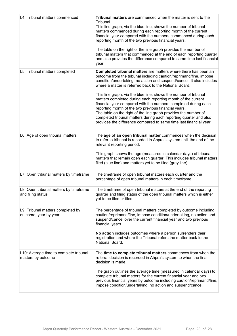| L4: Tribunal matters commenced                               | Tribunal matters are commenced when the matter is sent to the<br>Tribunal.<br>This line graph, via the blue line, shows the number of tribunal<br>matters commenced during each reporting month of the current<br>financial year compared with the numbers commenced during each<br>reporting month of the two previous financial years.<br>The table on the right of the line graph provides the number of<br>tribunal matters that commenced at the end of each reporting quarter<br>and also provides the difference compared to same time last financial<br>year.                                                                                                                                                                               |
|--------------------------------------------------------------|-----------------------------------------------------------------------------------------------------------------------------------------------------------------------------------------------------------------------------------------------------------------------------------------------------------------------------------------------------------------------------------------------------------------------------------------------------------------------------------------------------------------------------------------------------------------------------------------------------------------------------------------------------------------------------------------------------------------------------------------------------|
| L5: Tribunal matters completed                               | Completed tribunal matters are matters where there has been an<br>outcome from the tribunal including caution/reprimand/fine, impose<br>condition/undertaking, no action and suspend/cancel. It also includes<br>where a matter is referred back to the National Board.<br>This line graph, via the blue line, shows the number of tribunal<br>matters completed during each reporting month of the current<br>financial year compared with the numbers completed during each<br>reporting month of the two previous financial years.<br>The table on the right of the line graph provides the number of<br>completed tribunal matters during each reporting quarter and also<br>provides the difference compared to same time last financial year. |
| L6: Age of open tribunal matters                             | The age of an open tribunal matter commences when the decision<br>to refer to tribunal is recorded in Ahpra's system until the end of the<br>relevant reporting period.<br>This graph shows the age (measured in calendar days) of tribunal<br>matters that remain open each quarter. This includes tribunal matters<br>filed (blue line) and matters yet to be filed (grey line).                                                                                                                                                                                                                                                                                                                                                                  |
| L7: Open tribunal matters by timeframe                       | The timeframe of open tribunal matters each quarter and the<br>percentage of open tribunal matters in each timeframe.                                                                                                                                                                                                                                                                                                                                                                                                                                                                                                                                                                                                                               |
| L8: Open tribunal matters by timeframe<br>and filing status  | The timeframe of open tribunal matters at the end of the reporting<br>quarter and filing status of the open tribunal matters which is either<br>yet to be filed or filed.                                                                                                                                                                                                                                                                                                                                                                                                                                                                                                                                                                           |
| L9: Tribunal matters completed by<br>outcome, year by year   | The percentage of tribunal matters completed by outcome including<br>caution/reprimand/fine, impose condition/undertaking, no action and<br>suspend/cancel over the current financial year and two previous<br>financial years.<br>No action includes outcomes where a person surrenders their<br>registration and where the Tribunal refers the matter back to the<br>National Board.                                                                                                                                                                                                                                                                                                                                                              |
| L10: Average time to complete tribunal<br>matters by outcome | The time to complete tribunal matters commences from when the<br>referral decision is recorded in Ahpra's system to when the final<br>decision is made.<br>The graph outlines the average time (measured in calendar days) to<br>complete tribunal matters for the current financial year and two<br>previous financial years by outcome including caution/reprimand/fine,<br>impose condition/undertaking, no action and suspend/cancel.                                                                                                                                                                                                                                                                                                           |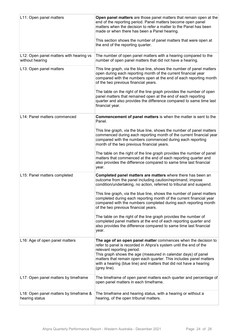| L11: Open panel matters                                    | Open panel matters are those panel matters that remain open at the<br>end of the reporting period. Panel matters become open panel<br>matters when the decision to refer a matter to the Panel has been<br>made or when there has been a Panel hearing.<br>This section shows the number of panel matters that were open at<br>the end of the reporting quarter.                               |
|------------------------------------------------------------|------------------------------------------------------------------------------------------------------------------------------------------------------------------------------------------------------------------------------------------------------------------------------------------------------------------------------------------------------------------------------------------------|
| L12: Open panel matters with hearing vs<br>without hearing | The number of open panel matters with a hearing compared to the<br>number of open panel matters that did not have a hearing.                                                                                                                                                                                                                                                                   |
| L13: Open panel matters                                    | This line graph, via the blue line, shows the number of panel matters<br>open during each reporting month of the current financial year<br>compared with the numbers open at the end of each reporting month<br>of the two previous financial years.                                                                                                                                           |
|                                                            | The table on the right of the line graph provides the number of open<br>panel matters that remained open at the end of each reporting<br>quarter and also provides the difference compared to same time last<br>financial year.                                                                                                                                                                |
| L14: Panel matters commenced                               | <b>Commencement of panel matters is when the matter is sent to the</b><br>Panel.                                                                                                                                                                                                                                                                                                               |
|                                                            | This line graph, via the blue line, shows the number of panel matters<br>commenced during each reporting month of the current financial year<br>compared with the numbers commenced during each reporting<br>month of the two previous financial years.                                                                                                                                        |
|                                                            | The table on the right of the line graph provides the number of panel<br>matters that commenced at the end of each reporting quarter and<br>also provides the difference compared to same time last financial<br>year.                                                                                                                                                                         |
| L15: Panel matters completed                               | Completed panel matters are matters where there has been an<br>outcome from the panel including caution/reprimand, impose<br>condition/undertaking, no action, referred to tribunal and suspend.                                                                                                                                                                                               |
|                                                            | This line graph, via the blue line, shows the number of panel matters<br>completed during each reporting month of the current financial year<br>compared with the numbers completed during each reporting month<br>of the two previous financial years.                                                                                                                                        |
|                                                            | The table on the right of the line graph provides the number of<br>completed panel matters at the end of each reporting quarter and<br>also provides the difference compared to same time last financial<br>year.                                                                                                                                                                              |
| L16: Age of open panel matters                             | The age of an open panel matter commences when the decision to<br>refer to panel is recorded in Ahpra's system until the end of the<br>relevant reporting period.<br>This graph shows the age (measured in calendar days) of panel<br>matters that remain open each quarter. This includes panel matters<br>with a hearing (blue line) and matters that did not have a hearing<br>(grey line). |
| L17: Open panel matters by timeframe                       | The timeframe of open panel matters each quarter and percentage of<br>open panel matters in each timeframe.                                                                                                                                                                                                                                                                                    |
| L18: Open panel matters by timeframe &<br>hearing status   | The timeframe and hearing status, with a hearing or without a<br>hearing, of the open tribunal matters.                                                                                                                                                                                                                                                                                        |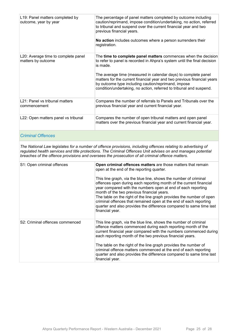| L19: Panel matters completed by<br>outcome, year by year    | The percentage of panel matters completed by outcome including<br>caution/reprimand, impose condition/undertaking, no action, referred<br>to tribunal and suspend over the current financial year and two<br>previous financial years.<br>No action includes outcomes where a person surrenders their<br>registration.                                                                                                            |
|-------------------------------------------------------------|-----------------------------------------------------------------------------------------------------------------------------------------------------------------------------------------------------------------------------------------------------------------------------------------------------------------------------------------------------------------------------------------------------------------------------------|
| L20: Average time to complete panel<br>matters by outcome   | The time to complete panel matters commences when the decision<br>to refer to panel is recorded in Ahpra's system until the final decision<br>is made.<br>The average time (measured in calendar days) to complete panel<br>matters for the current financial year and two previous financial years<br>by outcome type including caution/reprimand, impose<br>condition/undertaking, no action, referred to tribunal and suspend. |
| L <sub>21</sub> : Panel vs tribunal matters<br>commencement | Compares the number of referrals to Panels and Tribunals over the<br>previous financial year and current financial year.                                                                                                                                                                                                                                                                                                          |
| L22: Open matters panel vs tribunal                         | Compares the number of open tribunal matters and open panel<br>matters over the previous financial year and current financial year.                                                                                                                                                                                                                                                                                               |

#### *Criminal Offences*

*The National Law legislates for a number of offence provisions, including offences relating to advertising of regulated health services and title protections. The Criminal Offences Unit advises on and manages potential breaches of the offence provisions and oversees the prosecution of all criminal offence matters.*

| S1: Open criminal offences      | Open criminal offences matters are those matters that remain<br>open at the end of the reporting quarter.<br>This line graph, via the blue line, shows the number of criminal<br>offences open during each reporting month of the current financial<br>year compared with the numbers open at end of each reporting<br>month of the two previous financial years.<br>The table on the right of the line graph provides the number of open<br>criminal offences that remained open at the end of each reporting<br>quarter and also provides the difference compared to same time last<br>financial year. |
|---------------------------------|----------------------------------------------------------------------------------------------------------------------------------------------------------------------------------------------------------------------------------------------------------------------------------------------------------------------------------------------------------------------------------------------------------------------------------------------------------------------------------------------------------------------------------------------------------------------------------------------------------|
| S2: Criminal offences commenced | This line graph, via the blue line, shows the number of criminal<br>offence matters commenced during each reporting month of the<br>current financial year compared with the numbers commenced during<br>each reporting month of the two previous financial years.<br>The table on the right of the line graph provides the number of<br>criminal offence matters commenced at the end of each reporting<br>quarter and also provides the difference compared to same time last                                                                                                                          |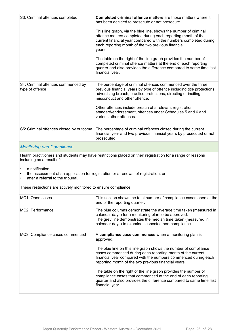| S3: Criminal offences completed                       | Completed criminal offence matters are those matters where it<br>has been decided to prosecute or not prosecute.<br>This line graph, via the blue line, shows the number of criminal<br>offence matters completed during each reporting month of the<br>current financial year compared with the numbers completed during<br>each reporting month of the two previous financial<br>years.<br>The table on the right of the line graph provides the number of<br>completed criminal offence matters at the end of each reporting<br>quarter and also provides the difference compared to same time last<br>financial year. |
|-------------------------------------------------------|---------------------------------------------------------------------------------------------------------------------------------------------------------------------------------------------------------------------------------------------------------------------------------------------------------------------------------------------------------------------------------------------------------------------------------------------------------------------------------------------------------------------------------------------------------------------------------------------------------------------------|
| S4: Criminal offences commenced by<br>type of offence | The percentage of criminal offences commenced over the three<br>previous financial years by type of offence including title protections,<br>advertising breach, practice protections, directing or inciting<br>misconduct and other offence.<br>Other offences include breach of a relevant registration<br>standard/endorsement, offences under Schedules 5 and 6 and<br>various other offences.                                                                                                                                                                                                                         |
| S5: Criminal offences closed by outcome               | The percentage of criminal offences closed during the current<br>financial year and two previous financial years by prosecuted or not<br>prosecuted.                                                                                                                                                                                                                                                                                                                                                                                                                                                                      |
|                                                       |                                                                                                                                                                                                                                                                                                                                                                                                                                                                                                                                                                                                                           |

#### *Monitoring and Compliance*

Health practitioners and students may have restrictions placed on their registration for a range of reasons including as a result of:

- a notification
- the assessment of an application for registration or a renewal of registration, or<br>• after a referral to the tribunal
- after a referral to the tribunal.

These restrictions are actively monitored to ensure compliance.

| MC1: Open cases                 | This section shows the total number of compliance cases open at the<br>end of the reporting quarter.                                                                                                                                                                                                                                                                                                                                                                                                                                                       |
|---------------------------------|------------------------------------------------------------------------------------------------------------------------------------------------------------------------------------------------------------------------------------------------------------------------------------------------------------------------------------------------------------------------------------------------------------------------------------------------------------------------------------------------------------------------------------------------------------|
| MC2: Performance                | The blue columns demonstrate the average time taken (measured in<br>calendar days) for a monitoring plan to be approved.<br>The grey line demonstrates the median time taken (measured in<br>calendar days) to examine suspected non-compliance.                                                                                                                                                                                                                                                                                                           |
| MC3: Compliance cases commenced | A compliance case commences when a monitoring plan is<br>approved.<br>The blue line on this line graph shows the number of compliance<br>cases commenced during each reporting month of the current<br>financial year compared with the numbers commenced during each<br>reporting month of the two previous financial years.<br>The table on the right of the line graph provides the number of<br>compliance cases that commenced at the end of each reporting<br>quarter and also provides the difference compared to same time last<br>financial year. |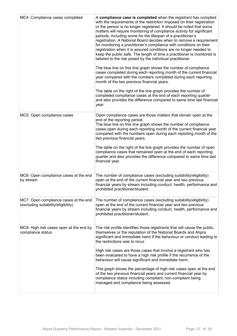| MC4: Compliance cases completed                                              | A compliance case is completed when the registrant has complied<br>with the requirements of the restriction imposed on their registration<br>or the person is no longer registered. It should be noted that some<br>matters will require monitoring of compliance activity for significant<br>periods, including some for the lifespan of a practitioner's<br>registration. A National Board decides when to remove a requirement<br>for monitoring a practitioner's compliance with conditions on their<br>registration when it is assured conditions are no longer needed to<br>keep the public safe. The length of time a practitioner is monitored is<br>tailored to the risk posed by the individual practitioner.<br>The blue line on this line graph shows the number of compliance<br>cases completed during each reporting month of the current financial<br>year compared with the numbers completed during each reporting<br>month of the two previous financial years.<br>The table on the right of the line graph provides the number of<br>completed compliance cases at the end of each reporting quarter<br>and also provides the difference compared to same time last financial<br>year. |
|------------------------------------------------------------------------------|------------------------------------------------------------------------------------------------------------------------------------------------------------------------------------------------------------------------------------------------------------------------------------------------------------------------------------------------------------------------------------------------------------------------------------------------------------------------------------------------------------------------------------------------------------------------------------------------------------------------------------------------------------------------------------------------------------------------------------------------------------------------------------------------------------------------------------------------------------------------------------------------------------------------------------------------------------------------------------------------------------------------------------------------------------------------------------------------------------------------------------------------------------------------------------------------------------|
| MC5: Open compliance cases                                                   | Open compliance cases are those matters that remain open at the<br>end of the reporting period.<br>The blue line on this line graph shows the number of compliance<br>cases open during each reporting month of the current financial year<br>compared with the numbers open during each reporting month of the<br>two previous financial years.<br>The table on the right of the line graph provides the number of open<br>compliance cases that remained open at the end of each reporting<br>quarter and also provides the difference compared to same time last<br>financial year.                                                                                                                                                                                                                                                                                                                                                                                                                                                                                                                                                                                                                     |
| MC6: Open compliance cases at the end<br>by stream                           | The number of compliance cases (excluding suitability/eligibility)<br>open at the end of the current financial year and two previous<br>financial years by stream including conduct, health, performance and<br>prohibited practitioner/student.                                                                                                                                                                                                                                                                                                                                                                                                                                                                                                                                                                                                                                                                                                                                                                                                                                                                                                                                                           |
| MC7: Open compliance cases at the end<br>(excluding suitability/eligibility) | The number of compliance cases (excluding suitability/eligibility)<br>open at the end of the current financial year and two previous<br>financial years by stream including conduct, health, performance and<br>prohibited practitioner/student.                                                                                                                                                                                                                                                                                                                                                                                                                                                                                                                                                                                                                                                                                                                                                                                                                                                                                                                                                           |
| MC8: High risk cases open at the end by<br>compliance status                 | The risk profile identifies those registrants that will cause the public,<br>themselves or the reputation of the National Boards and Ahpra<br>significant and immediate harm if the behaviour or conduct leading to<br>the restrictions was to recur.<br>High risk cases are those cases that involve a registrant who has<br>been evaluated to have a high risk profile if the recurrence of the<br>behaviour will cause significant and immediate harm.<br>This graph shows the percentage of high risk cases open at the end<br>of the two previous financial years and current financial year by<br>compliance status including compliant, non-compliant being<br>managed and compliance being assessed.                                                                                                                                                                                                                                                                                                                                                                                                                                                                                               |